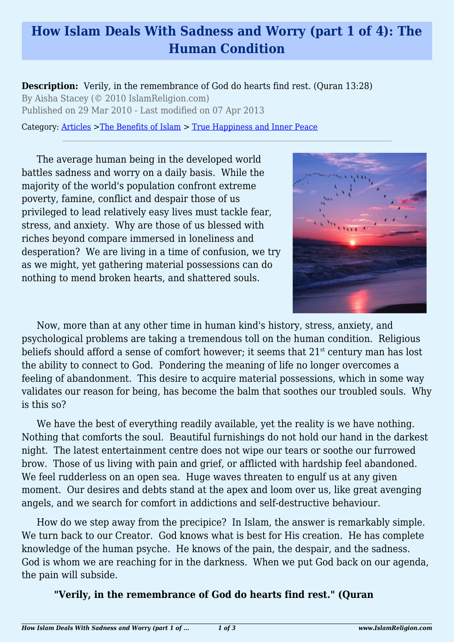## **How Islam Deals With Sadness and Worry (part 1 of 4): The Human Condition**

**Description:** Verily, in the remembrance of God do hearts find rest. (Quran 13:28) By Aisha Stacey (© 2010 IslamReligion.com) Published on 29 Mar 2010 - Last modified on 07 Apr 2013

Category: [Articles](http://www.islamreligion.com/articles/) >[The Benefits of Islam](http://www.islamreligion.com/category/43/) > [True Happiness and Inner Peace](http://www.islamreligion.com/category/104/)

The average human being in the developed world battles sadness and worry on a daily basis. While the majority of the world's population confront extreme poverty, famine, conflict and despair those of us privileged to lead relatively easy lives must tackle fear, stress, and anxiety. Why are those of us blessed with riches beyond compare immersed in loneliness and desperation? We are living in a time of confusion, we try as we might, yet gathering material possessions can do nothing to mend broken hearts, and shattered souls.



Now, more than at any other time in human kind's history, stress, anxiety, and psychological problems are taking a tremendous toll on the human condition. Religious beliefs should afford a sense of comfort however; it seems that 21<sup>st</sup> century man has lost the ability to connect to God. Pondering the meaning of life no longer overcomes a feeling of abandonment. This desire to acquire material possessions, which in some way validates our reason for being, has become the balm that soothes our troubled souls. Why is this so?

We have the best of everything readily available, yet the reality is we have nothing. Nothing that comforts the soul. Beautiful furnishings do not hold our hand in the darkest night. The latest entertainment centre does not wipe our tears or soothe our furrowed brow. Those of us living with pain and grief, or afflicted with hardship feel abandoned. We feel rudderless on an open sea. Huge waves threaten to engulf us at any given moment. Our desires and debts stand at the apex and loom over us, like great avenging angels, and we search for comfort in addictions and self-destructive behaviour.

How do we step away from the precipice? In Islam, the answer is remarkably simple. We turn back to our Creator. God knows what is best for His creation. He has complete knowledge of the human psyche. He knows of the pain, the despair, and the sadness. God is whom we are reaching for in the darkness. When we put God back on our agenda, the pain will subside.

## **"Verily, in the remembrance of God do hearts find rest." (Quran**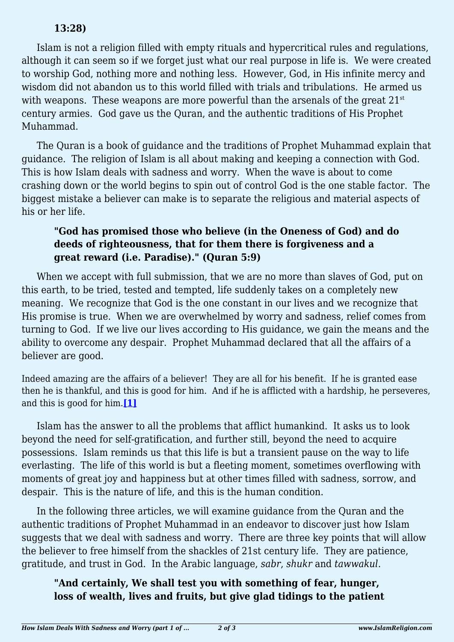## **13:28)**

Islam is not a religion filled with empty rituals and hypercritical rules and regulations, although it can seem so if we forget just what our real purpose in life is. We were created to worship God, nothing more and nothing less. However, God, in His infinite mercy and wisdom did not abandon us to this world filled with trials and tribulations. He armed us with weapons. These weapons are more powerful than the arsenals of the great  $21<sup>st</sup>$ century armies. God gave us the Quran, and the authentic traditions of His Prophet Muhammad.

The Quran is a book of guidance and the traditions of Prophet Muhammad explain that guidance. The religion of Islam is all about making and keeping a connection with God. This is how Islam deals with sadness and worry. When the wave is about to come crashing down or the world begins to spin out of control God is the one stable factor. The biggest mistake a believer can make is to separate the religious and material aspects of his or her life.

## **"God has promised those who believe (in the Oneness of God) and do deeds of righteousness, that for them there is forgiveness and a great reward (i.e. Paradise)." (Quran 5:9)**

When we accept with full submission, that we are no more than slaves of God, put on this earth, to be tried, tested and tempted, life suddenly takes on a completely new meaning. We recognize that God is the one constant in our lives and we recognize that His promise is true. When we are overwhelmed by worry and sadness, relief comes from turning to God. If we live our lives according to His guidance, we gain the means and the ability to overcome any despair. Prophet Muhammad declared that all the affairs of a believer are good.

Indeed amazing are the affairs of a believer! They are all for his benefit. If he is granted ease then he is thankful, and this is good for him. And if he is afflicted with a hardship, he perseveres, and this is good for him.**[\[1\]](#page-2-0)**

<span id="page-1-0"></span>Islam has the answer to all the problems that afflict humankind. It asks us to look beyond the need for self-gratification, and further still, beyond the need to acquire possessions. Islam reminds us that this life is but a transient pause on the way to life everlasting. The life of this world is but a fleeting moment, sometimes overflowing with moments of great joy and happiness but at other times filled with sadness, sorrow, and despair. This is the nature of life, and this is the human condition.

In the following three articles, we will examine guidance from the Quran and the authentic traditions of Prophet Muhammad in an endeavor to discover just how Islam suggests that we deal with sadness and worry. There are three key points that will allow the believer to free himself from the shackles of 21st century life. They are patience, gratitude, and trust in God. In the Arabic language, *sabr*, *shukr* and *tawwakul*.

**"And certainly, We shall test you with something of fear, hunger, loss of wealth, lives and fruits, but give glad tidings to the patient**